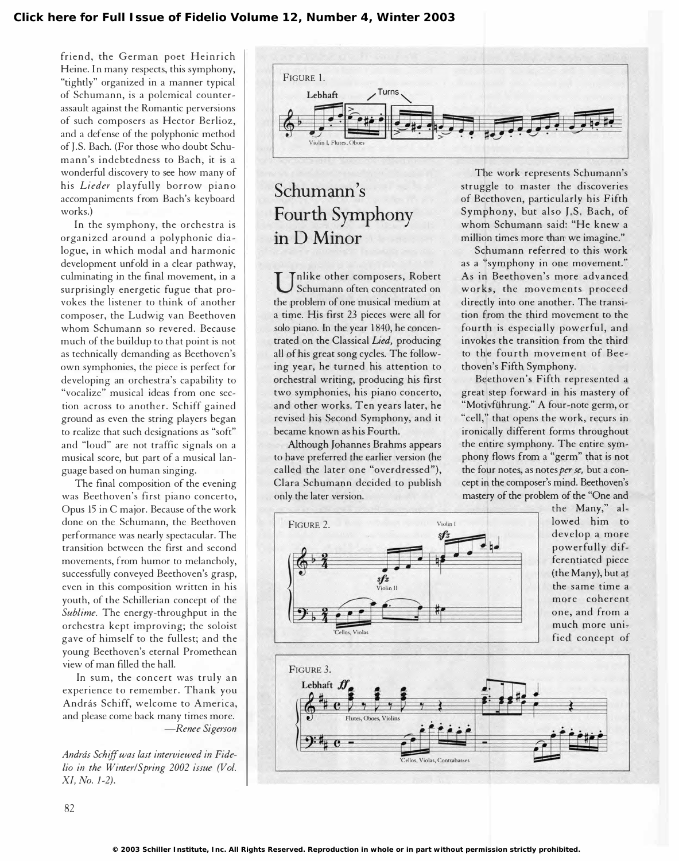friend, the German poet Heinrich Heine. In many respects, this symphony, "tightly" organized in a manner typical of Schumann, is a polemical counterassault against the Romantic perversions of such composers as Hector Berlioz, and a defense of the polyphonic method of J.S. Bach. (For those who doubt Schumann's indebtedness to Bach, it is a wonderful discovery to see how many of his Lieder playfully borrow piano accompaniments from Bach's keyboard works.)

In the symphony, the orchestra is organized around a polyphonic dialogue, in which modal and harmonic development unfold in a clear pathway, culminating in the final movement, in a surprisingly energetic fugue that provokes the listener to think of another composer, the Ludwig van Beethoven whom Schumann so revered. Because much of the buildup to that point is not as technically demanding as Beethoven's own symphonies, the piece is perfect for developing an orchestra's capability to "vocalize" musical ideas from one section across to another. Schiff gained ground as even the string players began to realize that such designations as "soft" and "loud" are not traffic signals on a musical score, but part of a musical language based on human singing.

The final composition of the evening was Beethoven's first piano concerto, Opus 15 in C major. Because of the work done on the Schumann, the Beethoven performance was nearly spectacular. The transition between the first and second movements, from humor to melancholy, successfully conveyed Beethoven's grasp, even in this composition written in his youth, of the Schillerian concept of the Sublime. The energy-throughput in the orchestra kept improving; the soloist gave of himself to the fullest; and the young Beethoven's eternal Promethean view of man filled the hall.

In sum, the concert was truly an experience to remember. Thank you András Schiff, welcome to America, and please come back many times more. -Renee Sigerson

András Schiff was last interviewed in Fidelia in the Winter/Spring 2002 issue (Vol. Xl, No. 1-2).



## Schumann's Fourth Symphony inD Minor

Schumann of ten concentrated on<br>the problem of one musical medium at nlike other composers, Robert Schumann often concentrated on a time. His first 23 pieces were all for solo piano. In the year 1840, he concentrated on the Classical Lied, producing all of his great song cycles. The following year, he turned his attention to orchestral writing, producing his first two symphonies, his piano concerto, and other works. Ten years later, he revised his Second Symphony, and it became known as his Fourth.

Although Johannes Brahms appears to have preferred the earlier version (he called the later one "overdressed"), Clara Schumann decided to publish only the later version.

The work represents Schumann's struggle to master the discoveries of Beethoven, particularly his Fifth Symphony, but also J.S. Bach, of whom Schumann said: "He k new a million times more than we imagine."

Schumann referred to this work as a "symphony in one movement." As in Beethoven's more advanced works, the movements proceed directly into one another. The transition from the third movement to the fourth is especially powerful, and invokes the transition from the third to the fourth movement of Beethoven's Fifth Symphony.

Beethoven's Fifth represented a great step forward in his mastery of "Motivführung." A four-note germ, or "cell," that opens the work, recurs in ironically different forms throughout the entire symphony. The entire symphony flows from a "germ" that is not the four notes, as notes per se, but a concept in the composer's mind. Beethoven's mastery of the problem of the "One and the Many," al-

> lowed him to develop a more powerfully differentiated piece (the Many), but at the same time a more coherent one, and from a much more unified concept of